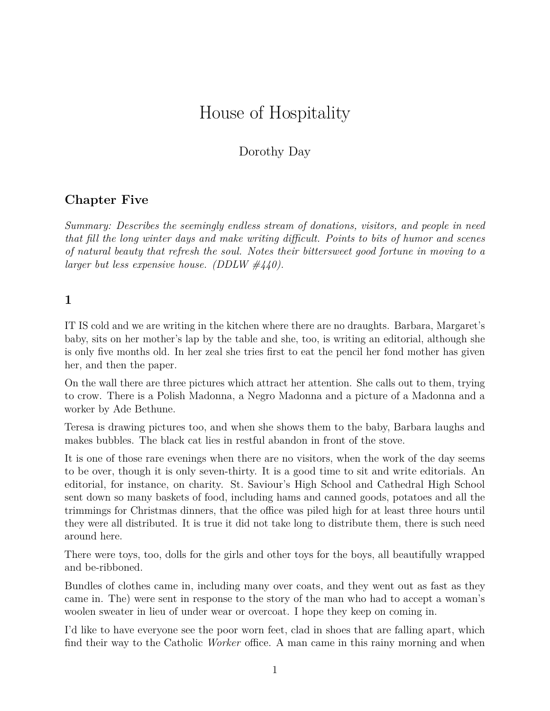# House of Hospitality

# Dorothy Day

### **Chapter Five**

*Summary: Describes the seemingly endless stream of donations, visitors, and people in need that fill the long winter days and make writing difficult. Points to bits of humor and scenes of natural beauty that refresh the soul. Notes their bittersweet good fortune in moving to a larger but less expensive house. (DDLW #440).*

#### **1**

IT IS cold and we are writing in the kitchen where there are no draughts. Barbara, Margaret's baby, sits on her mother's lap by the table and she, too, is writing an editorial, although she is only five months old. In her zeal she tries first to eat the pencil her fond mother has given her, and then the paper.

On the wall there are three pictures which attract her attention. She calls out to them, trying to crow. There is a Polish Madonna, a Negro Madonna and a picture of a Madonna and a worker by Ade Bethune.

Teresa is drawing pictures too, and when she shows them to the baby, Barbara laughs and makes bubbles. The black cat lies in restful abandon in front of the stove.

It is one of those rare evenings when there are no visitors, when the work of the day seems to be over, though it is only seven-thirty. It is a good time to sit and write editorials. An editorial, for instance, on charity. St. Saviour's High School and Cathedral High School sent down so many baskets of food, including hams and canned goods, potatoes and all the trimmings for Christmas dinners, that the office was piled high for at least three hours until they were all distributed. It is true it did not take long to distribute them, there is such need around here.

There were toys, too, dolls for the girls and other toys for the boys, all beautifully wrapped and be-ribboned.

Bundles of clothes came in, including many over coats, and they went out as fast as they came in. The) were sent in response to the story of the man who had to accept a woman's woolen sweater in lieu of under wear or overcoat. I hope they keep on coming in.

I'd like to have everyone see the poor worn feet, clad in shoes that are falling apart, which find their way to the Catholic *Worker* office. A man came in this rainy morning and when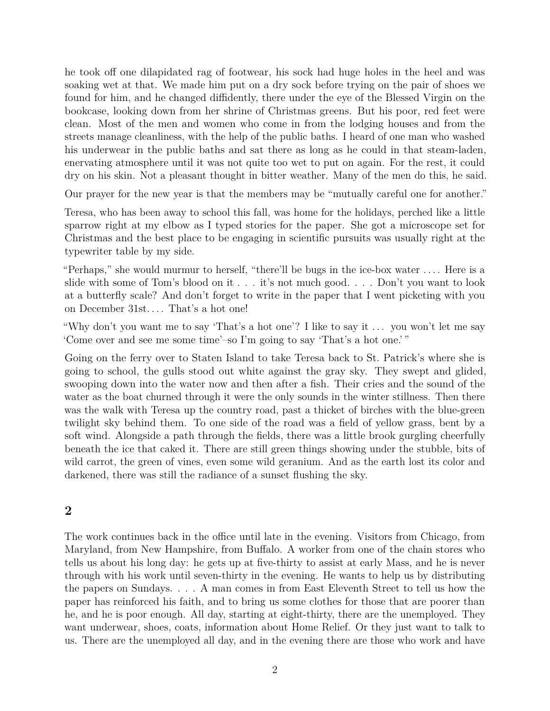he took off one dilapidated rag of footwear, his sock had huge holes in the heel and was soaking wet at that. We made him put on a dry sock before trying on the pair of shoes we found for him, and he changed diffidently, there under the eye of the Blessed Virgin on the bookcase, looking down from her shrine of Christmas greens. But his poor, red feet were clean. Most of the men and women who come in from the lodging houses and from the streets manage cleanliness, with the help of the public baths. I heard of one man who washed his underwear in the public baths and sat there as long as he could in that steam-laden, enervating atmosphere until it was not quite too wet to put on again. For the rest, it could dry on his skin. Not a pleasant thought in bitter weather. Many of the men do this, he said.

Our prayer for the new year is that the members may be "mutually careful one for another."

Teresa, who has been away to school this fall, was home for the holidays, perched like a little sparrow right at my elbow as I typed stories for the paper. She got a microscope set for Christmas and the best place to be engaging in scientific pursuits was usually right at the typewriter table by my side.

"Perhaps," she would murmur to herself, "there'll be bugs in the ice-box water . . . . Here is a slide with some of Tom's blood on it . . . it's not much good. . . . Don't you want to look at a butterfly scale? And don't forget to write in the paper that I went picketing with you on December 31st.... That's a hot one!

"Why don't you want me to say 'That's a hot one'? I like to say it . . . you won't let me say 'Come over and see me some time'–so I'm going to say 'That's a hot one.' "

Going on the ferry over to Staten Island to take Teresa back to St. Patrick's where she is going to school, the gulls stood out white against the gray sky. They swept and glided, swooping down into the water now and then after a fish. Their cries and the sound of the water as the boat churned through it were the only sounds in the winter stillness. Then there was the walk with Teresa up the country road, past a thicket of birches with the blue-green twilight sky behind them. To one side of the road was a field of yellow grass, bent by a soft wind. Alongside a path through the fields, there was a little brook gurgling cheerfully beneath the ice that caked it. There are still green things showing under the stubble, bits of wild carrot, the green of vines, even some wild geranium. And as the earth lost its color and darkened, there was still the radiance of a sunset flushing the sky.

#### **2**

The work continues back in the office until late in the evening. Visitors from Chicago, from Maryland, from New Hampshire, from Buffalo. A worker from one of the chain stores who tells us about his long day: he gets up at five-thirty to assist at early Mass, and he is never through with his work until seven-thirty in the evening. He wants to help us by distributing the papers on Sundays. . . . A man comes in from East Eleventh Street to tell us how the paper has reinforced his faith, and to bring us some clothes for those that are poorer than he, and he is poor enough. All day, starting at eight-thirty, there are the unemployed. They want underwear, shoes, coats, information about Home Relief. Or they just want to talk to us. There are the unemployed all day, and in the evening there are those who work and have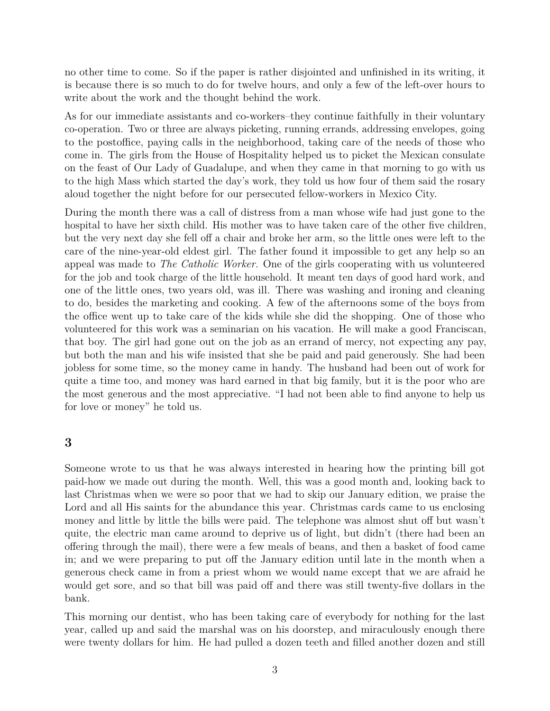no other time to come. So if the paper is rather disjointed and unfinished in its writing, it is because there is so much to do for twelve hours, and only a few of the left-over hours to write about the work and the thought behind the work.

As for our immediate assistants and co-workers–they continue faithfully in their voluntary co-operation. Two or three are always picketing, running errands, addressing envelopes, going to the postoffice, paying calls in the neighborhood, taking care of the needs of those who come in. The girls from the House of Hospitality helped us to picket the Mexican consulate on the feast of Our Lady of Guadalupe, and when they came in that morning to go with us to the high Mass which started the day's work, they told us how four of them said the rosary aloud together the night before for our persecuted fellow-workers in Mexico City.

During the month there was a call of distress from a man whose wife had just gone to the hospital to have her sixth child. His mother was to have taken care of the other five children, but the very next day she fell off a chair and broke her arm, so the little ones were left to the care of the nine-year-old eldest girl. The father found it impossible to get any help so an appeal was made to *The Catholic Worker.* One of the girls cooperating with us volunteered for the job and took charge of the little household. It meant ten days of good hard work, and one of the little ones, two years old, was ill. There was washing and ironing and cleaning to do, besides the marketing and cooking. A few of the afternoons some of the boys from the office went up to take care of the kids while she did the shopping. One of those who volunteered for this work was a seminarian on his vacation. He will make a good Franciscan, that boy. The girl had gone out on the job as an errand of mercy, not expecting any pay, but both the man and his wife insisted that she be paid and paid generously. She had been jobless for some time, so the money came in handy. The husband had been out of work for quite a time too, and money was hard earned in that big family, but it is the poor who are the most generous and the most appreciative. "I had not been able to find anyone to help us for love or money" he told us.

#### **3**

Someone wrote to us that he was always interested in hearing how the printing bill got paid-how we made out during the month. Well, this was a good month and, looking back to last Christmas when we were so poor that we had to skip our January edition, we praise the Lord and all His saints for the abundance this year. Christmas cards came to us enclosing money and little by little the bills were paid. The telephone was almost shut off but wasn't quite, the electric man came around to deprive us of light, but didn't (there had been an offering through the mail), there were a few meals of beans, and then a basket of food came in; and we were preparing to put off the January edition until late in the month when a generous check came in from a priest whom we would name except that we are afraid he would get sore, and so that bill was paid off and there was still twenty-five dollars in the bank.

This morning our dentist, who has been taking care of everybody for nothing for the last year, called up and said the marshal was on his doorstep, and miraculously enough there were twenty dollars for him. He had pulled a dozen teeth and filled another dozen and still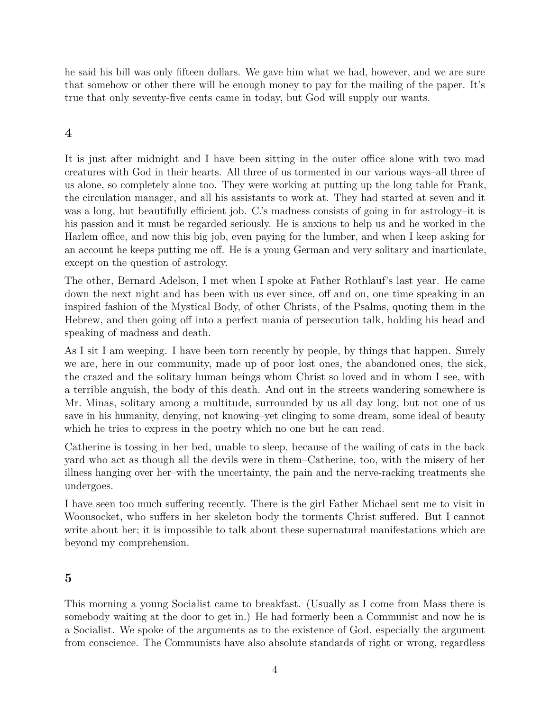he said his bill was only fifteen dollars. We gave him what we had, however, and we are sure that somehow or other there will be enough money to pay for the mailing of the paper. It's true that only seventy-five cents came in today, but God will supply our wants.

# **4**

It is just after midnight and I have been sitting in the outer office alone with two mad creatures with God in their hearts. All three of us tormented in our various ways–all three of us alone, so completely alone too. They were working at putting up the long table for Frank, the circulation manager, and all his assistants to work at. They had started at seven and it was a long, but beautifully efficient job. C.'s madness consists of going in for astrology–it is his passion and it must be regarded seriously. He is anxious to help us and he worked in the Harlem office, and now this big job, even paying for the lumber, and when I keep asking for an account he keeps putting me off. He is a young German and very solitary and inarticulate, except on the question of astrology.

The other, Bernard Adelson, I met when I spoke at Father Rothlauf's last year. He came down the next night and has been with us ever since, off and on, one time speaking in an inspired fashion of the Mystical Body, of other Christs, of the Psalms, quoting them in the Hebrew, and then going off into a perfect mania of persecution talk, holding his head and speaking of madness and death.

As I sit I am weeping. I have been torn recently by people, by things that happen. Surely we are, here in our community, made up of poor lost ones, the abandoned ones, the sick, the crazed and the solitary human beings whom Christ so loved and in whom I see, with a terrible anguish, the body of this death. And out in the streets wandering somewhere is Mr. Minas, solitary among a multitude, surrounded by us all day long, but not one of us save in his humanity, denying, not knowing–yet clinging to some dream, some ideal of beauty which he tries to express in the poetry which no one but he can read.

Catherine is tossing in her bed, unable to sleep, because of the wailing of cats in the back yard who act as though all the devils were in them–Catherine, too, with the misery of her illness hanging over her–with the uncertainty, the pain and the nerve-racking treatments she undergoes.

I have seen too much suffering recently. There is the girl Father Michael sent me to visit in Woonsocket, who suffers in her skeleton body the torments Christ suffered. But I cannot write about her; it is impossible to talk about these supernatural manifestations which are beyond my comprehension.

## **5**

This morning a young Socialist came to breakfast. (Usually as I come from Mass there is somebody waiting at the door to get in.) He had formerly been a Communist and now he is a Socialist. We spoke of the arguments as to the existence of God, especially the argument from conscience. The Communists have also absolute standards of right or wrong, regardless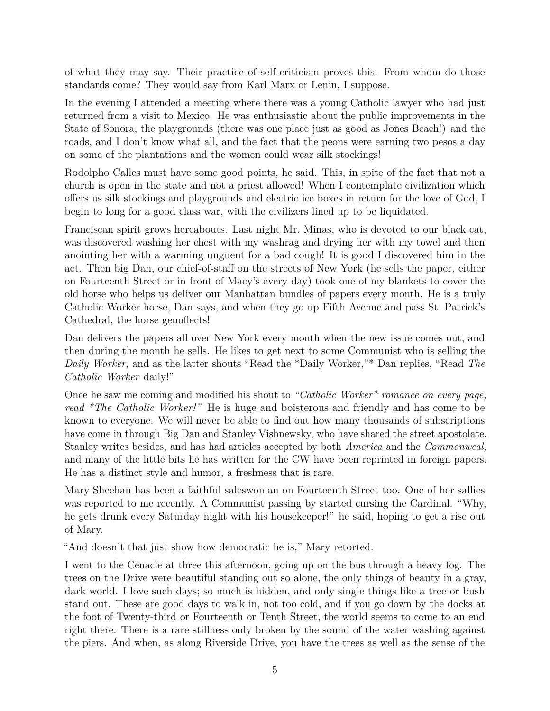of what they may say. Their practice of self-criticism proves this. From whom do those standards come? They would say from Karl Marx or Lenin, I suppose.

In the evening I attended a meeting where there was a young Catholic lawyer who had just returned from a visit to Mexico. He was enthusiastic about the public improvements in the State of Sonora, the playgrounds (there was one place just as good as Jones Beach!) and the roads, and I don't know what all, and the fact that the peons were earning two pesos a day on some of the plantations and the women could wear silk stockings!

Rodolpho Calles must have some good points, he said. This, in spite of the fact that not a church is open in the state and not a priest allowed! When I contemplate civilization which offers us silk stockings and playgrounds and electric ice boxes in return for the love of God, I begin to long for a good class war, with the civilizers lined up to be liquidated.

Franciscan spirit grows hereabouts. Last night Mr. Minas, who is devoted to our black cat, was discovered washing her chest with my washrag and drying her with my towel and then anointing her with a warming unguent for a bad cough! It is good I discovered him in the act. Then big Dan, our chief-of-staff on the streets of New York (he sells the paper, either on Fourteenth Street or in front of Macy's every day) took one of my blankets to cover the old horse who helps us deliver our Manhattan bundles of papers every month. He is a truly Catholic Worker horse, Dan says, and when they go up Fifth Avenue and pass St. Patrick's Cathedral, the horse genuflects!

Dan delivers the papers all over New York every month when the new issue comes out, and then during the month he sells. He likes to get next to some Communist who is selling the *Daily Worker,* and as the latter shouts "Read the \*Daily Worker,"\* Dan replies, "Read *The Catholic Worker* daily!"

Once he saw me coming and modified his shout to *"Catholic Worker\* romance on every page, read \*The Catholic Worker!"* He is huge and boisterous and friendly and has come to be known to everyone. We will never be able to find out how many thousands of subscriptions have come in through Big Dan and Stanley Vishnewsky, who have shared the street apostolate. Stanley writes besides, and has had articles accepted by both *America* and the *Commonweal,* and many of the little bits he has written for the CW have been reprinted in foreign papers. He has a distinct style and humor, a freshness that is rare.

Mary Sheehan has been a faithful saleswoman on Fourteenth Street too. One of her sallies was reported to me recently. A Communist passing by started cursing the Cardinal. "Why, he gets drunk every Saturday night with his housekeeper!" he said, hoping to get a rise out of Mary.

"And doesn't that just show how democratic he is," Mary retorted.

I went to the Cenacle at three this afternoon, going up on the bus through a heavy fog. The trees on the Drive were beautiful standing out so alone, the only things of beauty in a gray, dark world. I love such days; so much is hidden, and only single things like a tree or bush stand out. These are good days to walk in, not too cold, and if you go down by the docks at the foot of Twenty-third or Fourteenth or Tenth Street, the world seems to come to an end right there. There is a rare stillness only broken by the sound of the water washing against the piers. And when, as along Riverside Drive, you have the trees as well as the sense of the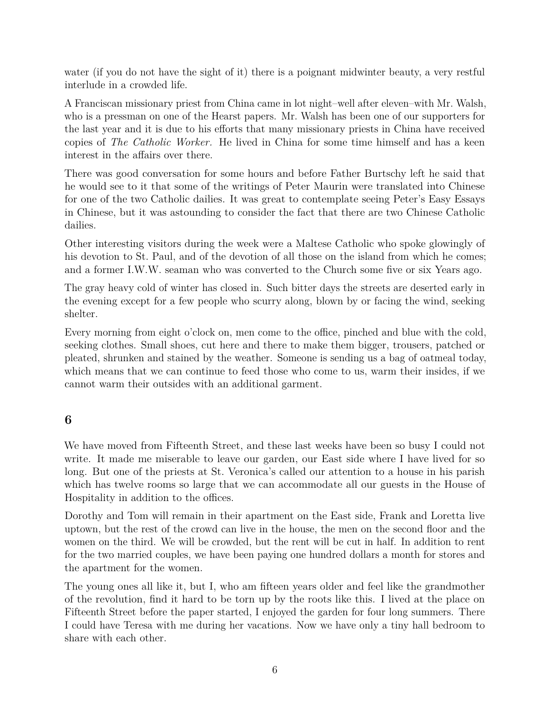water (if you do not have the sight of it) there is a poignant midwinter beauty, a very restful interlude in a crowded life.

A Franciscan missionary priest from China came in lot night–well after eleven–with Mr. Walsh, who is a pressman on one of the Hearst papers. Mr. Walsh has been one of our supporters for the last year and it is due to his efforts that many missionary priests in China have received copies of *The Catholic Worker.* He lived in China for some time himself and has a keen interest in the affairs over there.

There was good conversation for some hours and before Father Burtschy left he said that he would see to it that some of the writings of Peter Maurin were translated into Chinese for one of the two Catholic dailies. It was great to contemplate seeing Peter's Easy Essays in Chinese, but it was astounding to consider the fact that there are two Chinese Catholic dailies.

Other interesting visitors during the week were a Maltese Catholic who spoke glowingly of his devotion to St. Paul, and of the devotion of all those on the island from which he comes; and a former I.W.W. seaman who was converted to the Church some five or six Years ago.

The gray heavy cold of winter has closed in. Such bitter days the streets are deserted early in the evening except for a few people who scurry along, blown by or facing the wind, seeking shelter.

Every morning from eight o'clock on, men come to the office, pinched and blue with the cold, seeking clothes. Small shoes, cut here and there to make them bigger, trousers, patched or pleated, shrunken and stained by the weather. Someone is sending us a bag of oatmeal today, which means that we can continue to feed those who come to us, warm their insides, if we cannot warm their outsides with an additional garment.

#### **6**

We have moved from Fifteenth Street, and these last weeks have been so busy I could not write. It made me miserable to leave our garden, our East side where I have lived for so long. But one of the priests at St. Veronica's called our attention to a house in his parish which has twelve rooms so large that we can accommodate all our guests in the House of Hospitality in addition to the offices.

Dorothy and Tom will remain in their apartment on the East side, Frank and Loretta live uptown, but the rest of the crowd can live in the house, the men on the second floor and the women on the third. We will be crowded, but the rent will be cut in half. In addition to rent for the two married couples, we have been paying one hundred dollars a month for stores and the apartment for the women.

The young ones all like it, but I, who am fifteen years older and feel like the grandmother of the revolution, find it hard to be torn up by the roots like this. I lived at the place on Fifteenth Street before the paper started, I enjoyed the garden for four long summers. There I could have Teresa with me during her vacations. Now we have only a tiny hall bedroom to share with each other.